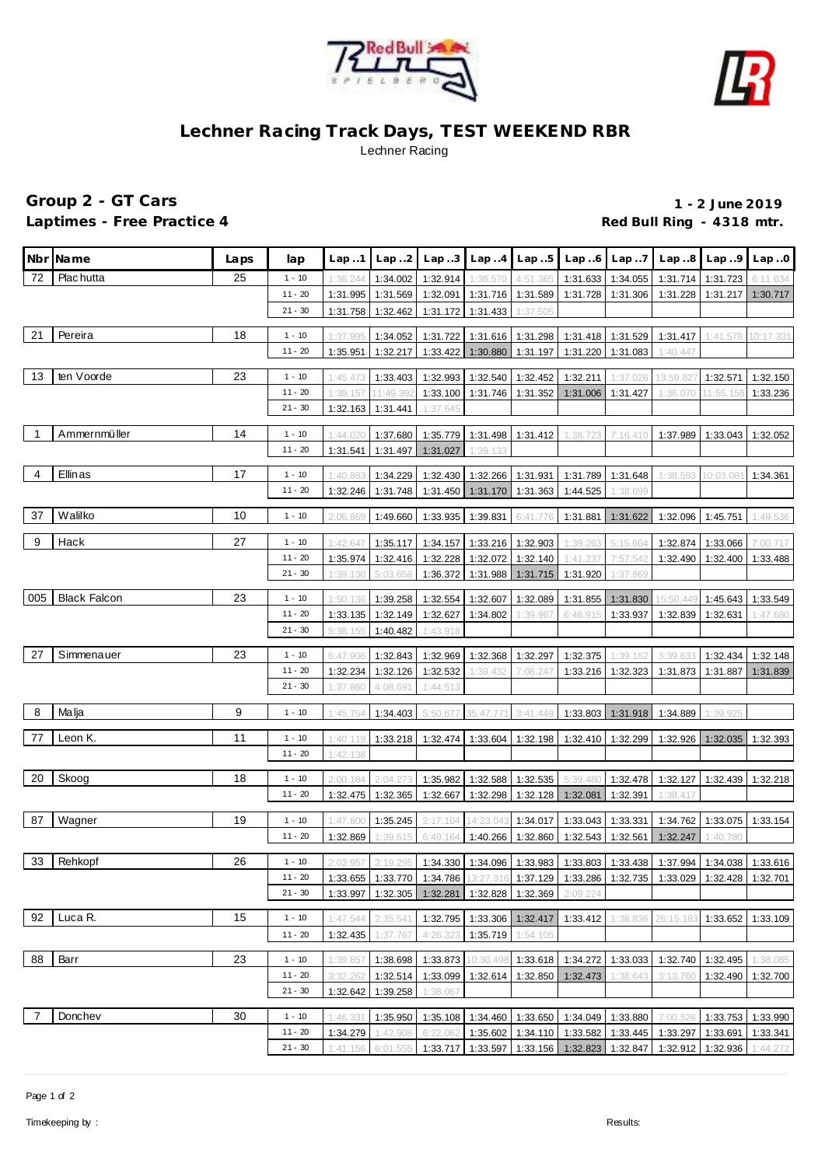



## **Lechner Racing Track Days, TEST WEEKEND RBR** Lechner Racing

## **Group 2 - GT Cars 1 - 2 June 2019** Laptimes - Free Practice 4 **Container and Container Property** Red Bull Ring - 4318 mtr.

|     | Nbr Name            | Laps | lap       | Lap.1    | Lap.2             | Lap.3    |                   | $Lap.4$ $Lap.5$   | Lap.6                                                                                 | Lap7              |           | Lap.8 Lap.9 | Lap.0     |
|-----|---------------------|------|-----------|----------|-------------------|----------|-------------------|-------------------|---------------------------------------------------------------------------------------|-------------------|-----------|-------------|-----------|
| 72  | Plac hutta          | 25   | $1 - 10$  | 1:36.244 | 1:34.002          | 1:32.914 | 1:36.570          | 4:51.365          | 1:31.633                                                                              | 1:34.055          | 1:31.714  | 1:31.723    | 6:11.634  |
|     |                     |      | $11 - 20$ | 1:31.995 | 1:31.569          | 1:32.091 | 1:31.716          | 1:31.589          | 1:31.728                                                                              | 1:31.306          | 1:31.228  | 1:31.217    | 1:30.717  |
|     |                     |      | $21 - 30$ | 1:31.758 | 1:32.462          | 1:31.172 | 1:31.433          | 1:37.505          |                                                                                       |                   |           |             |           |
|     |                     |      |           |          |                   |          |                   |                   |                                                                                       |                   |           |             |           |
| 21  | Pereira             | 18   | $1 - 10$  | 1:37.995 | 1:34.052          | 1:31.722 |                   | 1:31.616 1:31.298 |                                                                                       | 1:31.418 1:31.529 | 1:31.417  | 1:41.578    | 10:17.331 |
|     |                     |      | $11 - 20$ | 1:35.951 | 1:32.217          | 1:33.422 | 1:30.880          | 1:31.197          | 1:31.220                                                                              | 1:31.083          | 1:40.447  |             |           |
| 13  | ten Voorde          | 23   | $1 - 10$  | 1:45.473 | 1:33.403          | 1:32.993 | 1:32.540          | 1:32.452          | 1:32.211                                                                              | 1:37.026          | 13:59.82  | 1:32.571    | 1:32.150  |
|     |                     |      | $11 - 20$ | 1:39.157 | 11:49.392         | 1:33.100 | 1:31.746          | 1:31.352          | 1:31.006                                                                              | 1:31.427          | 1:36.070  | 11:55.156   | 1:33.236  |
|     |                     |      | $21 - 30$ | 1:32.163 | 1:31.441          | 1:37.645 |                   |                   |                                                                                       |                   |           |             |           |
|     | Ammernmüller        | 14   |           |          |                   |          |                   |                   |                                                                                       |                   |           |             |           |
|     |                     |      | $1 - 10$  | 1:44.020 | 1:37.680          | 1:35.779 | 1:31.498          | 1:31.412          | 1:38.723                                                                              | 7:16.410          | 1:37.989  | 1:33.043    | 1:32.052  |
|     |                     |      | $11 - 20$ | 1:31.541 | 1:31.497          | 1:31.027 | 1:39.133          |                   |                                                                                       |                   |           |             |           |
| 4   | Ellinas             | 17   | $1 - 10$  | 1:40.883 | 1:34.229          | 1:32.430 | 1:32.266 1:31.931 |                   |                                                                                       | 1:31.789 1:31.648 | 1:38.593  | 10:03.081   | 1:34.361  |
|     |                     |      | $11 - 20$ | 1:32.246 | 1:31.748          | 1:31.450 | 1:31.170          | 1:31.363          | 1:44.525                                                                              | 1:38.699          |           |             |           |
|     |                     |      |           |          |                   |          |                   |                   |                                                                                       |                   |           |             |           |
| 37  | Walilko             | 10   | $1 - 10$  | 2:06.869 | 1:49.660          | 1:33.935 | 1:39.831          | 6:41.776          | 1:31.881                                                                              | 1:31.622          | 1:32.096  | 1:45.751    | 1:49.536  |
| 9   | Hack                | 27   | $1 - 10$  | 1:42.647 | 1:35.117          | 1:34.157 | 1:33.216          | 1:32.903          | 1:39.263                                                                              | 5:15.664          | 1:32.874  | 1:33.066    | 7:00.717  |
|     |                     |      | $11 - 20$ | 1:35.974 | 1:32.416          | 1:32.228 | 1:32.072          | 1:32.140          | 1:41.237                                                                              | 7:57.542          | 1:32.490  | 1:32.400    | 1:33.488  |
|     |                     |      | $21 - 30$ | 1:39.130 | 5:03.658          | 1:36.372 | 1:31.988          | 1:31.715          | 1:31.920                                                                              | 1:37.869          |           |             |           |
|     |                     |      |           |          |                   |          |                   |                   |                                                                                       |                   |           |             |           |
| 005 | <b>Black Falcon</b> | 23   | $1 - 10$  | 1:50.136 | 1:39.258          | 1:32.554 | 1:32.607          | 1:32.089          | 1:31.855                                                                              | 1:31.830          | 15:50.449 | 1:45.643    | 1:33.549  |
|     |                     |      | $11 - 20$ | 1:33.135 | 1:32.149          | 1:32.627 | 1:34.802          | 1:39.967          | 6:46.915                                                                              | 1:33.937          | 1:32.839  | 1:32.631    | 1:47.680  |
|     |                     |      | $21 - 30$ | 5:38.155 | 1:40.482          | 1:43.918 |                   |                   |                                                                                       |                   |           |             |           |
| 27  | Simmenauer          | 23   | $1 - 10$  | 6:47.906 | 1:32.843          | 1:32.969 | 1:32.368          | 1:32.297          | 1:32.375                                                                              | 1:39.162          | 3:39.63   | 1:32.434    | 1:32.148  |
|     |                     |      | $11 - 20$ | 1:32.234 | 1:32.126          | 1:32.532 | 1:39.432          | 7:06.247          | 1:33.216                                                                              | 1:32.323          | 1:31.873  | 1:31.887    | 1:31.839  |
|     |                     |      | $21 - 30$ | 1:37.860 | 4:08.691          | 1:44.513 |                   |                   |                                                                                       |                   |           |             |           |
|     |                     |      |           |          |                   |          |                   |                   |                                                                                       |                   |           |             |           |
| 8   | Malja               | 9    | $1 - 10$  | 1:45.754 | 1:34.403          | 5:50.677 | 35:47.771         | 3:41.449          | 1:33.803                                                                              | 1:31.918          | 1:34.889  | 1:39.925    |           |
| 77  | Leon K.             | 11   | $1 - 10$  | 1:40.119 | 1:33.218          | 1:32.474 | 1:33.604          | 1:32.198          | 1:32.410                                                                              | 1:32.299          | 1:32.926  | 1:32.035    | 1:32.393  |
|     |                     |      | $11 - 20$ | 1:42.138 |                   |          |                   |                   |                                                                                       |                   |           |             |           |
|     |                     |      |           |          |                   |          |                   |                   |                                                                                       |                   |           |             |           |
| 20  | Skoog               | 18   | $1 - 10$  | 2:00.184 | 2:04.273          | 1:35.982 | 1:32.588          | 1:32.535          | 5:39.480                                                                              | 1:32.478          | 1:32.127  | 1:32.439    | 1:32.218  |
|     |                     |      | $11 - 20$ | 1:32.475 | 1:32.365          | 1:32.667 | 1:32.298          | 1:32.128          | 1:32.081                                                                              | 1:32.391          | 1:38.417  |             |           |
| 87  | Wagner              | 19   | $1 - 10$  |          |                   | 2:17.104 |                   | 1:34.017          |                                                                                       |                   |           |             |           |
|     |                     |      | $11 - 20$ | 1:47.800 | 1:35.245          | 6:49.164 | 14:23.043         | 1:32.860          | 1:33.043                                                                              | 1:33.331          | 1:34.762  | 1:33.075    | 1:33.154  |
|     |                     |      |           | 1:32.869 | 1:39.615          |          | 1:40.266          |                   | 1:32.543                                                                              | 1:32.561          | 1:32.247  | 1:40.780    |           |
| 33  | Rehkopf             | 26   | $1 - 10$  |          | 2:03.957 2:19.295 |          |                   |                   | 1:34.330   1:34.096   1:33.983   1:33.803   1:33.438   1:37.994   1:34.038   1:33.616 |                   |           |             |           |
|     |                     |      | $11 - 20$ | 1:33.655 | 1:33.770          | 1:34.786 | 13:27.316         | 1:37.129          | 1:33.286                                                                              | 1:32.735          | 1:33.029  | 1:32.428    | 1:32.701  |
|     |                     |      | $21 - 30$ | 1:33.997 | 1:32.305          | 1:32.281 | 1:32.828          | 1:32.369          | 2:09.224                                                                              |                   |           |             |           |
|     |                     |      |           |          |                   |          |                   |                   |                                                                                       |                   |           |             |           |
| 92  | Luca R.             | 15   | $1 - 10$  | 1:47.544 | 2:35.541          | 1:32.795 | 1:33.306          | 1:32.417          | 1:33.412                                                                              | 1:38.836          | 26:15.183 | 1:33.652    | 1:33.109  |
|     |                     |      | $11 - 20$ | 1:32.435 | 1:37.767          | 4:26.323 | 1:35.719          | 1:54.105          |                                                                                       |                   |           |             |           |
| 88  | Barr                | 23   | $1 - 10$  | 1:39.857 | 1:38.698          | 1:33.873 | 10:30.498         | 1:33.618          | 1:34.272                                                                              | 1:33.033          | 1:32.740  | 1:32.495    | 1:38.085  |
|     |                     |      | $11 - 20$ | 3:32.262 | 1:32.514          | 1:33.099 | 1:32.614          | 1:32.850          | 1:32.473                                                                              | 1:38.643          | 3:13.760  | 1:32.490    | 1:32.700  |
|     |                     |      | $21 - 30$ | 1:32.642 | 1:39.258          | 1:38.067 |                   |                   |                                                                                       |                   |           |             |           |
|     |                     |      |           |          |                   |          |                   |                   |                                                                                       |                   |           |             |           |
| 7   | Donchev             | 30   | $1 - 10$  | 1:46.331 | 1:35.950          |          | 1:35.108 1:34.460 | 1:33.650          | 1:34.049                                                                              | 1:33.880          | 7:00.526  | 1:33.753    | 1:33.990  |
|     |                     |      | $11 - 20$ | 1:34.279 | 1:42.908          | 6:22.062 | 1:35.602          | 1:34.110          | 1:33.582                                                                              | 1:33.445          | 1:33.297  | 1:33.691    | 1:33.341  |
|     |                     |      | $21 - 30$ | 1:41.156 | 6:01.555          | 1:33.717 | 1:33.597          | 1:33.156          | 1:32.823                                                                              | 1:32.847          | 1:32.912  | 1:32.936    | 1:44.272  |